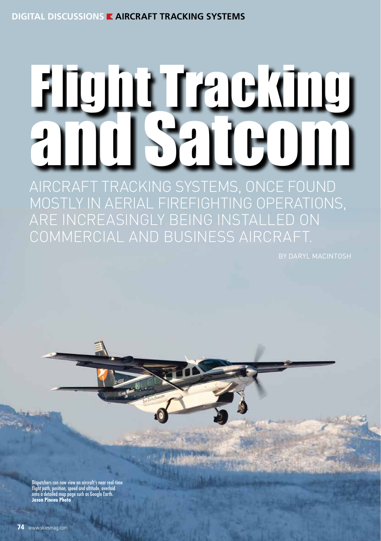## **digital discussions AIRCRAFT TRACKING SYSTEMS**

# Flight Tracking  $H$ Aircraft tracking systems, once found

mostly in aerial firefighting operations, are increasingly being installed on commercial and business aircraft.

atchers can now view an aircraft's near real-time flight path, position, speed and altitude, overlaid onto a detailed map page such as Google Earth. **Jason Pineau Photo**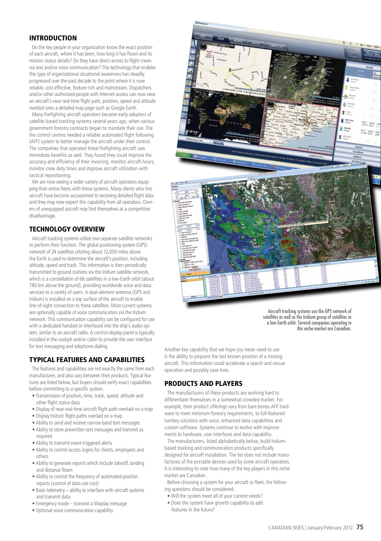#### **INTRODUCTION**

Do the key people in your organization know the exact position of each aircraft, where it has been, how long it has flown and its mission status details? Do they have direct access to flight crews via text and/or voice communication? The technology that enables this type of organizational situational awareness has steadily progressed over the past decade to the point where it is now reliable, cost effective, feature-rich and mainstream. Dispatchers and/or other authorized people with Internet access can now view an aircraft's near real-time flight path, position, speed and altitude overlaid onto a detailed map page such as Google Earth.

Many firefighting aircraft operators became early adopters of satellite-based tracking systems several years ago, when various government forestry contracts began to mandate their use. The fire control centres needed a reliable automated flight following (AFF) system to better manage the aircraft under their control. The companies that operated these firefighting aircraft saw immediate benefits as well. They found they could improve the accuracy and efficiency of their invoicing, monitor aircraft hours, monitor crew duty times and improve aircraft utilization with tactical repositioning.

We are now seeing a wider variety of aircraft operators equipping their entire fleets with these systems. Many clients who hire aircraft have become accustomed to receiving detailed flight data and they may now expect this capability from all operators. Owners of unequipped aircraft may find themselves at a competitive disadvantage.

#### Technology Overview

Aircraft tracking systems utilize two separate satellite networks to perform their function. The global positioning system (GPS) network of 24 satellites orbiting about 12,000 miles above the Earth is used to determine the aircraft's position, including altitude, speed and track. This information is then periodically transmitted to ground stations via the Iridium satellite network, which is a constellation of 66 satellites in a low-Earth orbit (about 780 km above the ground), providing worldwide voice and data services to a variety of users. A dual-element antenna (GPS and Iridium) is installed on a top surface of the aircraft to enable line-of-sight connection to these satellites. Most current systems are optionally capable of voice communication via the Iridium network. This communication capability can be configured for use with a dedicated handset or interfaced into the ship's audio system, similar to an aircraft radio. A control-display panel is typically installed in the cockpit and/or cabin to provide the user interface for text messaging and telephone dialing.

#### Typical Features and Capabilities

The features and capabilities are not exactly the same from each manufacturer, and also vary between their products. Typical features are listed below, but buyers should verify exact capabilities before committing to a specific system.

- Transmission of position, time, track, speed, altitude and other flight status data
- Display of near real-time aircraft flight path overlaid on a map
- Display historic flight paths overlaid on a map
- Ability to send and receive narrow band text messages
- Ability to store prewritten text messages and transmit as required
- Ability to transmit event-triggered alerts
- Ability to control access logins for clients, employees and others
- Ability to generate reports which include takeoff, landing and distance flown
- Ability to control the frequency of automated position reports (control of data use cost)
- Basic telemetry ability to interface with aircraft systems and transmit data
- Emergency mode transmit a Mayday message
- Optional voice communication capability



Aircraft tracking systems use the GPS network of satellites as well as the Iridium group of satellites in a low-Earth orbit. Several companies operating in this niche market are Canadian.

Another key capability that we hope you never need to use is the ability to pinpoint the last known position of a missing aircraft. This information could accelerate a search and rescue operation and possibly save lives.

#### Products and Players

The manufacturers of these products are working hard to differentiate themselves in a somewhat crowded market. For example, their product offerings vary from bare bones AFF hardware to meet minimum forestry requirements, to full-featured turnkey solutions with voice, enhanced data capabilities and custom software. Systems continue to evolve with improvements to hardware, user interfaces and data capability.

The manufacturers, listed alphabetically below, build Iridiumbased tracking and communication products specifically designed for aircraft installation. The list does not include manufactures of the portable devices used by some aircraft operators. It is interesting to note how many of the key players in this niche market are Canadian.

Before choosing a system for your aircraft or fleet, the following questions should be considered:

- Will the system meet all of your current needs?
- Does the system have growth capability to add features in the future?